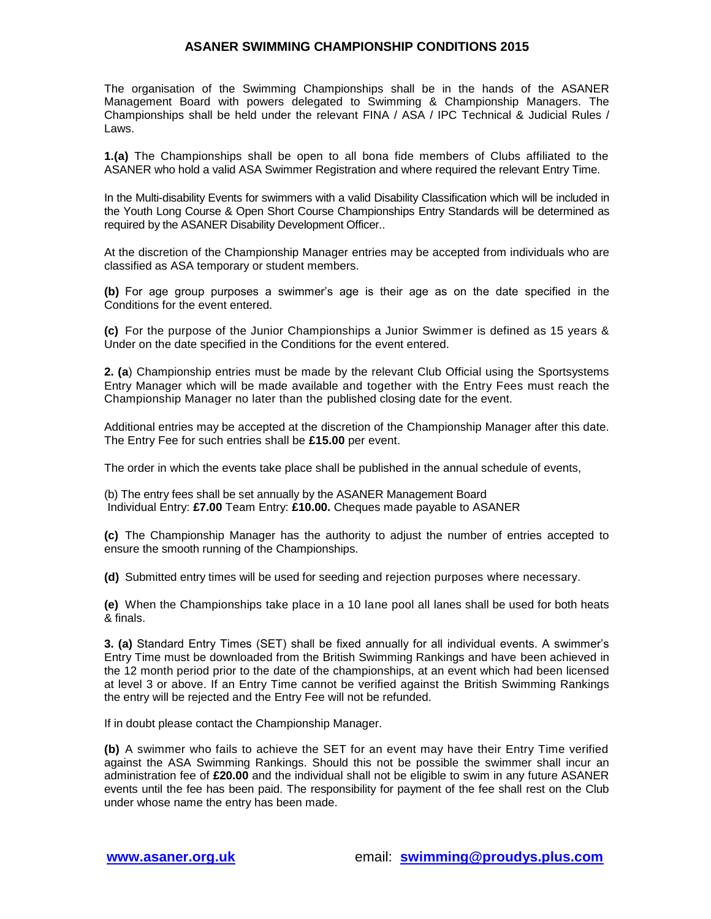# **ASANER SWIMMING CHAMPIONSHIP CONDITIONS 2015**

The organisation of the Swimming Championships shall be in the hands of the ASANER Management Board with powers delegated to Swimming & Championship Managers. The Championships shall be held under the relevant FINA / ASA / IPC Technical & Judicial Rules / Laws.

**1.(a)** The Championships shall be open to all bona fide members of Clubs affiliated to the ASANER who hold a valid ASA Swimmer Registration and where required the relevant Entry Time.

In the Multi-disability Events for swimmers with a valid Disability Classification which will be included in the Youth Long Course & Open Short Course Championships Entry Standards will be determined as required by the ASANER Disability Development Officer..

At the discretion of the Championship Manager entries may be accepted from individuals who are classified as ASA temporary or student members.

**(b)** For age group purposes a swimmer's age is their age as on the date specified in the Conditions for the event entered.

**(c)** For the purpose of the Junior Championships a Junior Swimmer is defined as 15 years & Under on the date specified in the Conditions for the event entered.

**2. (a**) Championship entries must be made by the relevant Club Official using the Sportsystems Entry Manager which will be made available and together with the Entry Fees must reach the Championship Manager no later than the published closing date for the event.

Additional entries may be accepted at the discretion of the Championship Manager after this date. The Entry Fee for such entries shall be **£15.00** per event.

The order in which the events take place shall be published in the annual schedule of events,

(b) The entry fees shall be set annually by the ASANER Management Board Individual Entry: **£7.00** Team Entry: **£10.00.** Cheques made payable to ASANER

**(c)** The Championship Manager has the authority to adjust the number of entries accepted to ensure the smooth running of the Championships.

**(d)** Submitted entry times will be used for seeding and rejection purposes where necessary.

**(e)** When the Championships take place in a 10 lane pool all lanes shall be used for both heats & finals.

**3. (a)** Standard Entry Times (SET) shall be fixed annually for all individual events. A swimmer's Entry Time must be downloaded from the British Swimming Rankings and have been achieved in the 12 month period prior to the date of the championships, at an event which had been licensed at level 3 or above. If an Entry Time cannot be verified against the British Swimming Rankings the entry will be rejected and the Entry Fee will not be refunded.

If in doubt please contact the Championship Manager.

**(b)** A swimmer who fails to achieve the SET for an event may have their Entry Time verified against the ASA Swimming Rankings. Should this not be possible the swimmer shall incur an administration fee of **£20.00** and the individual shall not be eligible to swim in any future ASANER events until the fee has been paid. The responsibility for payment of the fee shall rest on the Club under whose name the entry has been made.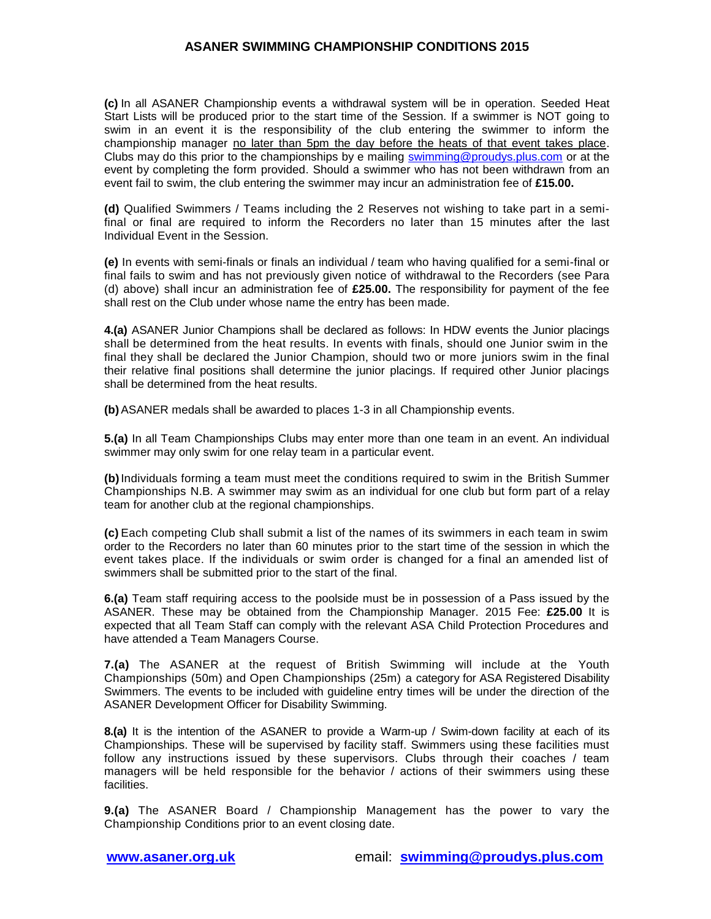# **ASANER SWIMMING CHAMPIONSHIP CONDITIONS 2015**

**(c)** In all ASANER Championship events a withdrawal system will be in operation. Seeded Heat Start Lists will be produced prior to the start time of the Session. If a swimmer is NOT going to swim in an event it is the responsibility of the club entering the swimmer to inform the championship manager no later than 5pm the day before the heats of that event takes place. Clubs may do this prior to the championships by e mailing [swimming@proudys.plus.com](mailto:swimming@proudys.plus.com) or at the event by completing the form provided. Should a swimmer who has not been withdrawn from an event fail to swim, the club entering the swimmer may incur an administration fee of **£15.00.**

**(d)** Qualified Swimmers / Teams including the 2 Reserves not wishing to take part in a semifinal or final are required to inform the Recorders no later than 15 minutes after the last Individual Event in the Session.

**(e)** In events with semi-finals or finals an individual / team who having qualified for a semi-final or final fails to swim and has not previously given notice of withdrawal to the Recorders (see Para (d) above) shall incur an administration fee of **£25.00.** The responsibility for payment of the fee shall rest on the Club under whose name the entry has been made.

**4.(a)** ASANER Junior Champions shall be declared as follows: In HDW events the Junior placings shall be determined from the heat results. In events with finals, should one Junior swim in the final they shall be declared the Junior Champion, should two or more juniors swim in the final their relative final positions shall determine the junior placings. If required other Junior placings shall be determined from the heat results.

**(b)**ASANER medals shall be awarded to places 1-3 in all Championship events.

**5.(a)** In all Team Championships Clubs may enter more than one team in an event. An individual swimmer may only swim for one relay team in a particular event.

**(b)**Individuals forming a team must meet the conditions required to swim in the British Summer Championships N.B. A swimmer may swim as an individual for one club but form part of a relay team for another club at the regional championships.

**(c)** Each competing Club shall submit a list of the names of its swimmers in each team in swim order to the Recorders no later than 60 minutes prior to the start time of the session in which the event takes place. If the individuals or swim order is changed for a final an amended list of swimmers shall be submitted prior to the start of the final.

**6.(a)** Team staff requiring access to the poolside must be in possession of a Pass issued by the ASANER. These may be obtained from the Championship Manager. 2015 Fee: **£25.00** It is expected that all Team Staff can comply with the relevant ASA Child Protection Procedures and have attended a Team Managers Course.

**7.(a)** The ASANER at the request of British Swimming will include at the Youth Championships (50m) and Open Championships (25m) a category for ASA Registered Disability Swimmers. The events to be included with guideline entry times will be under the direction of the ASANER Development Officer for Disability Swimming.

**8.(a)** It is the intention of the ASANER to provide a Warm-up / Swim-down facility at each of its Championships. These will be supervised by facility staff. Swimmers using these facilities must follow any instructions issued by these supervisors. Clubs through their coaches / team managers will be held responsible for the behavior / actions of their swimmers using these facilities.

**9.(a)** The ASANER Board / Championship Management has the power to vary the Championship Conditions prior to an event closing date.